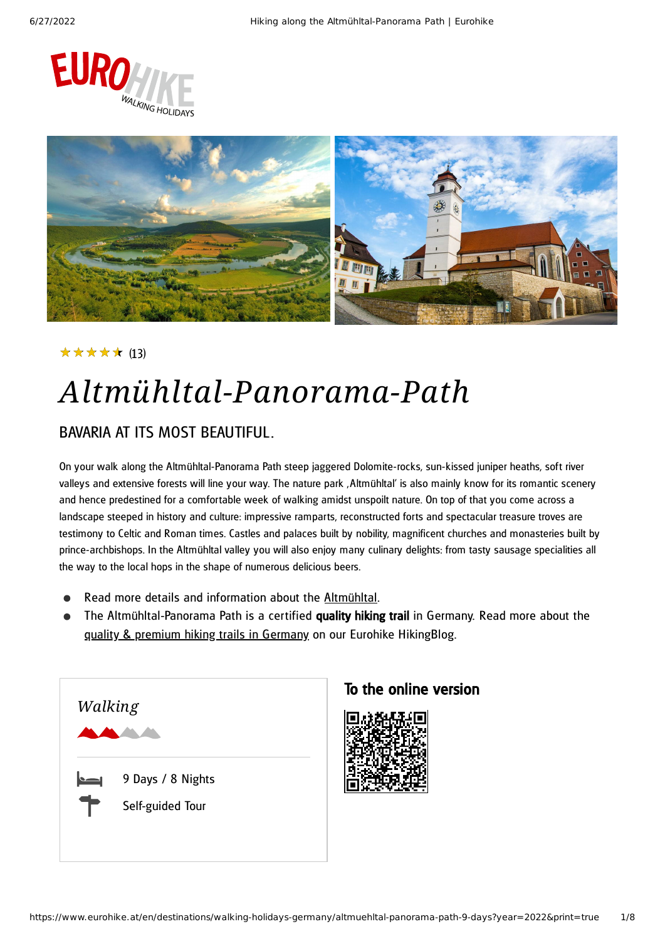



#### ★★★★★ (13)

# *Altmühltal-Panorama-Path*

#### BAVARIA AT ITS MOST BEAUTIFUL.

On your walk along the Altmühltal-Panorama Path steep jaggered Dolomite-rocks, sun-kissed juniper heaths, soft river valleys and extensive forests will line your way. The nature park , Altmühltal' is also mainly know for its romantic scenery and hence predestined for a comfortable week of walking amidst unspoilt nature. On top of that you come across a landscape steeped in history and culture: impressive ramparts, reconstructed forts and spectacular treasure troves are testimony to Celtic and Roman times. Castles and palaces built by nobility, magnificent churches and monasteries built by prince-archbishops. In the Altmühltal valley you will also enjoy many culinary delights: from tasty sausage specialities all the way to the local hops in the shape of numerous delicious beers.

- Read more details and information about the [Altmühltal](https://www.eurohike.at/en/destinations/walking-holidays-germany/alpine-foothills/altmuehltal).
- The Altmühltal-Panorama Path is a certified quality hiking trail in Germany. Read more about the quality & premium hiking trails in [Germany](https://www.eurohike.at/en/blog/german-hiking-paths) on our Eurohike HikingBlog.



#### To the online version

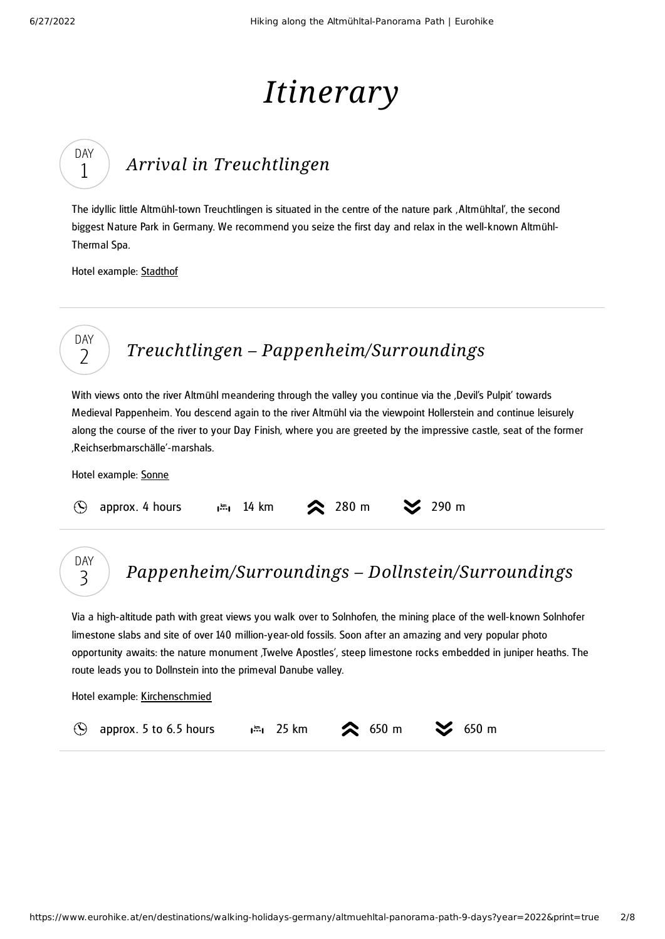DAY 1

DAY 2

# *Itinerary*

## *Arrival in [Treuchtlingen](#page-1-0)*

<span id="page-1-0"></span>The idyllic little Altmühl-town Treuchtlingen is situated in the centre of the nature park 'Altmühltal', the second biggest Nature Park in Germany. We recommend you seize the first day and relax in the well-known Altmühl-Thermal Spa.

Hotel example: [Stadthof](http://www.gaestehaus-stadthof.de/index_e.htm)

### *Treuchtlingen – [Pappenheim/Surroundings](#page-1-1)*

<span id="page-1-1"></span>With views onto the river Altmühl meandering through the valley you continue via the ,Devil's Pulpit' towards Medieval Pappenheim. You descend again to the river Altmühl via the viewpoint Hollerstein and continue leisurely along the course of the river to your Day Finish, where you are greeted by the impressive castle, seat of the former 'Reichserbmarschälle'-marshals.

Hotel example: [Sonne](http://www.sonne-pappenheim.de/)

|  | $\circled{S}$ approx. 4 hours |  | 14 km |  | <b>1</b> 280 m |  | $\approx$ 290 m |
|--|-------------------------------|--|-------|--|----------------|--|-----------------|
|--|-------------------------------|--|-------|--|----------------|--|-----------------|

#### *[Pappenheim/Surroundings](#page-1-2) – Dollnstein/Surroundings* DAY 3

<span id="page-1-2"></span>Via a high-altitude path with great views you walk over to Solnhofen, the mining place of the well-known Solnhofer limestone slabs and site of over 140 million-year-old fossils. Soon after an amazing and very popular photo opportunity awaits: the nature monument , Twelve Apostles', steep limestone rocks embedded in juniper heaths. The route leads you to Dollnstein into the primeval Danube valley.

Hotel example: [Kirchenschmied](http://www.zum-kirchenschmied.de/t3/startseite.html)

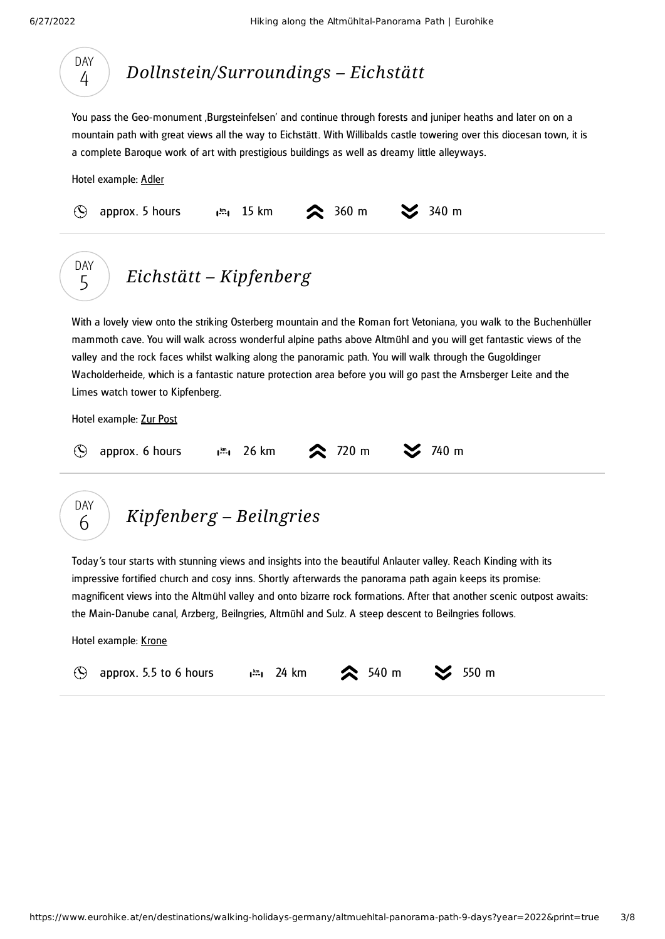DAY  $\overline{A}$ 

<span id="page-2-0"></span>

| <b>DAY</b><br>4    | Dollnstein/Surroundings – Eichstätt                                                                                                                                                                                                                                                                                                                                                                                                                                                                       |
|--------------------|-----------------------------------------------------------------------------------------------------------------------------------------------------------------------------------------------------------------------------------------------------------------------------------------------------------------------------------------------------------------------------------------------------------------------------------------------------------------------------------------------------------|
|                    | You pass the Geo-monument , Burgsteinfelsen' and continue through forests and juniper heaths and later on on a<br>mountain path with great views all the way to Eichstätt. With Willibalds castle towering over this diocesan town, it is<br>a complete Baroque work of art with prestigious buildings as well as dreamy little alleyways.                                                                                                                                                                |
|                    | Hotel example: Adler                                                                                                                                                                                                                                                                                                                                                                                                                                                                                      |
| $(\blacktriangle)$ | $360$ m<br>2340 m<br>approx. 5 hours<br>$\frac{km}{2}$ 15 km                                                                                                                                                                                                                                                                                                                                                                                                                                              |
| <b>DAY</b><br>5    | Eichstätt – Kipfenberg                                                                                                                                                                                                                                                                                                                                                                                                                                                                                    |
|                    | With a lovely view onto the striking Osterberg mountain and the Roman fort Vetoniana, you walk to the Buchenhüller<br>mammoth cave. You will walk across wonderful alpine paths above Altmühl and you will get fantastic views of the<br>valley and the rock faces whilst walking along the panoramic path. You will walk through the Gugoldinger<br>Wacholderheide, which is a fantastic nature protection area before you will go past the Arnsberger Leite and the<br>Limes watch tower to Kipfenberg. |
|                    | Hotel example: Zur Post                                                                                                                                                                                                                                                                                                                                                                                                                                                                                   |
|                    | 26 km<br>720 m<br>740 m<br>approx. 6 hours<br>$l^{km}l$                                                                                                                                                                                                                                                                                                                                                                                                                                                   |
| DAY<br>6           | Kipfenberg – Beilngries                                                                                                                                                                                                                                                                                                                                                                                                                                                                                   |

<span id="page-2-2"></span><span id="page-2-1"></span>Today's tour starts with stunning views and insights into the beautiful Anlauter valley. Reach Kinding with its impressive fortified church and cosy inns. Shortly afterwards the panorama path again keeps its promise: magnificent views into the Altmühl valley and onto bizarre rock formations. After that another scenic outpost awaits: the Main-Danube canal, Arzberg, Beilngries, Altmühl and Sulz. A steep descent to Beilngries follows.

Hotel example: [Krone](https://www.krone-beilngries.de/)

|  | <b>Example 15 approx.</b> 5.5 to 6 hours a $\mathbb{R}^n$ , 24 km <b>2</b> 540 m |  |  |  |  |  |  |  |
|--|----------------------------------------------------------------------------------|--|--|--|--|--|--|--|
|--|----------------------------------------------------------------------------------|--|--|--|--|--|--|--|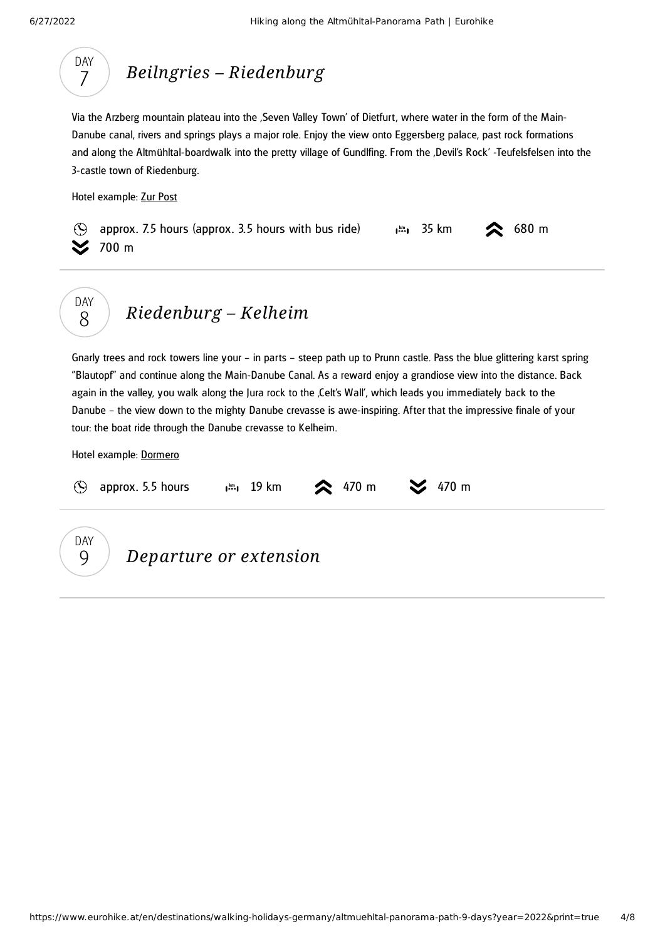

### *Beilngries – [Riedenburg](#page-3-0)*

<span id="page-3-0"></span>Via the Arzberg mountain plateau into the 'Seven Valley Town' of Dietfurt, where water in the form of the Main-Danube canal, rivers and springs plays a major role. Enjoy the view onto Eggersberg palace, past rock formations and along the Altmühltal-boardwalk into the pretty village of Gundlfing. From the ,Devil's Rock' -Teufelsfelsen into the 3-castle town of Riedenburg.

Hotel example: Zur [Post](http://www.zurpostgasthof.de/)





### *[Riedenburg](#page-3-1) – Kelheim*

<span id="page-3-1"></span>Gnarly trees and rock towers line your – in parts – steep path up to Prunn castle. Pass the blue glittering karst spring "Blautopf" and continue along the Main-Danube Canal. As a reward enjoy a grandiose view into the distance. Back again in the valley, you walk along the Jura rock to the Celt's Wall', which leads you immediately back to the Danube – the view down to the mighty Danube crevasse is awe-inspiring. After that the impressive finale of your tour: the boat ride through the Danube crevasse to Kelheim.

Hotel example: [Dormero](https://www.dormero.de/en/hotel-kelheim/)

|                            | approx. 5.5 hours      | $\frac{1}{2}$ 19 km $\approx$ 470 m $\approx$ 470 m |  |
|----------------------------|------------------------|-----------------------------------------------------|--|
| <b>DAY</b><br>$\mathsf{Q}$ | Departure or extension |                                                     |  |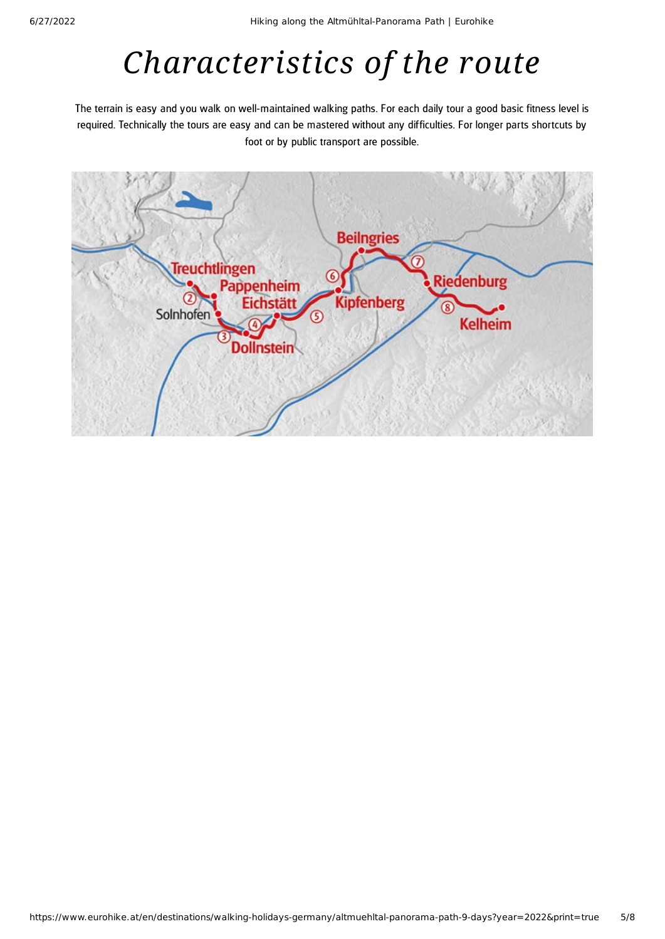# *Characteristics of the route*

The terrain is easy and you walk on well-maintained walking paths. For each daily tour a good basic fitness level is required. Technically the tours are easy and can be mastered without any difficulties. For longer parts shortcuts by foot or by public transport are possible.

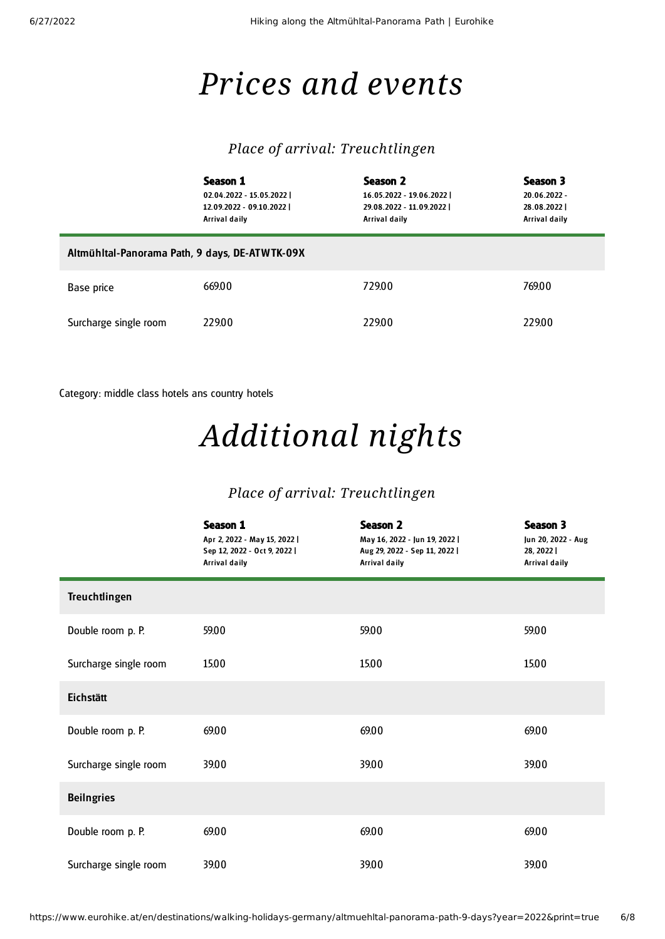## *Prices and events*

#### *Place of arrival: Treuchtlingen*

|                                                | Season 1<br>02.04.2022 - 15.05.2022  <br>12.09.2022 - 09.10.2022  <br>Arrival daily | Season 2<br>16.05.2022 - 19.06.2022  <br>29.08.2022 - 11.09.2022  <br>Arrival daily | Season 3<br>20.06.2022 -<br>28.08.2022<br>Arrival daily |  |  |
|------------------------------------------------|-------------------------------------------------------------------------------------|-------------------------------------------------------------------------------------|---------------------------------------------------------|--|--|
| Altmühltal-Panorama Path, 9 days, DE-ATWTK-09X |                                                                                     |                                                                                     |                                                         |  |  |
| Base price                                     | 669.00                                                                              | 729.00                                                                              | 769.00                                                  |  |  |
| Surcharge single room                          | 229.00                                                                              | 229.00                                                                              | 229.00                                                  |  |  |

Category: middle class hotels ans country hotels

# *Additional nights*

#### *Place of arrival: Treuchtlingen*

|                       | Season 1<br>Apr 2, 2022 - May 15, 2022  <br>Sep 12, 2022 - Oct 9, 2022  <br><b>Arrival daily</b> | <b>Season 2</b><br>May 16, 2022 - Jun 19, 2022  <br>Aug 29, 2022 - Sep 11, 2022  <br><b>Arrival daily</b> | Season 3<br>Jun 20, 2022 - Aug<br>28, 2022  <br>Arrival daily |
|-----------------------|--------------------------------------------------------------------------------------------------|-----------------------------------------------------------------------------------------------------------|---------------------------------------------------------------|
| <b>Treuchtlingen</b>  |                                                                                                  |                                                                                                           |                                                               |
| Double room p. P.     | 59.00                                                                                            | 59.00                                                                                                     | 59.00                                                         |
| Surcharge single room | 15.00                                                                                            | 15.00                                                                                                     | 15.00                                                         |
| Eichstätt             |                                                                                                  |                                                                                                           |                                                               |
| Double room p. P.     | 69.00                                                                                            | 69.00                                                                                                     | 69.00                                                         |
| Surcharge single room | 39.00                                                                                            | 39.00                                                                                                     | 39.00                                                         |
| <b>Beilngries</b>     |                                                                                                  |                                                                                                           |                                                               |
| Double room p. P.     | 69.00                                                                                            | 69.00                                                                                                     | 69.00                                                         |
| Surcharge single room | 39.00                                                                                            | 39.00                                                                                                     | 39.00                                                         |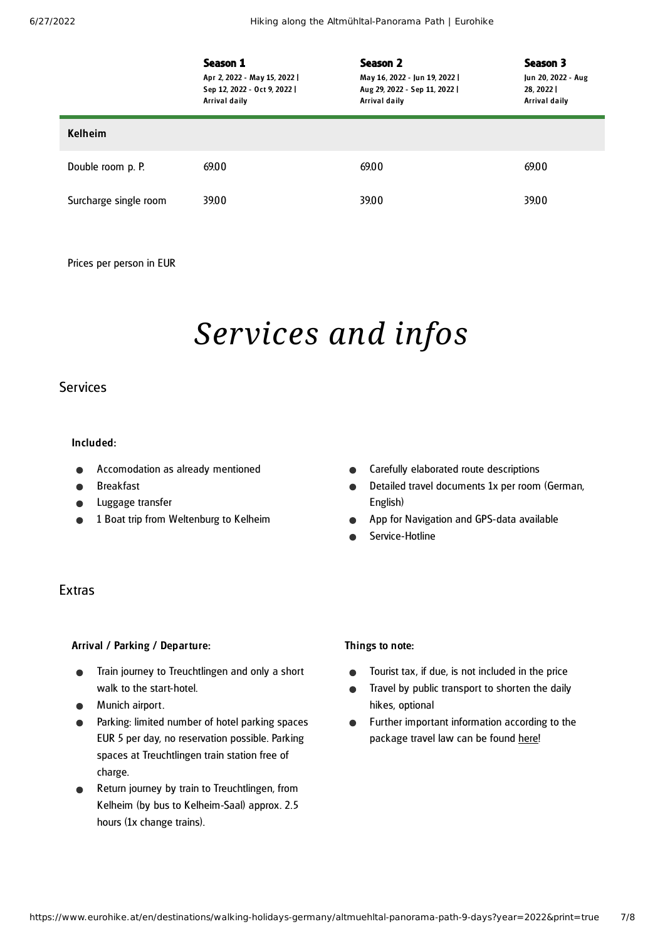|                       | Season 1<br>Apr 2, 2022 - May 15, 2022  <br>Sep 12, 2022 - Oct 9, 2022  <br>Arrival daily | Season 2<br>May 16, 2022 - Jun 19, 2022  <br>Aug 29, 2022 - Sep 11, 2022  <br><b>Arrival daily</b> | Season 3<br>Jun 20, 2022 - Aug<br>28, 2022<br>Arrival daily |
|-----------------------|-------------------------------------------------------------------------------------------|----------------------------------------------------------------------------------------------------|-------------------------------------------------------------|
| <b>Kelheim</b>        |                                                                                           |                                                                                                    |                                                             |
| Double room p. P.     | 69.00                                                                                     | 69.00                                                                                              | 69.00                                                       |
| Surcharge single room | 39.00                                                                                     | 39.00                                                                                              | 39.00                                                       |

Prices per person in EUR

## *Services and infos*

#### Services

#### Included:

- Accomodation as already mentioned
- Breakfast
- Luggage transfer
- 1 Boat trip from Weltenburg to Kelheim

#### Extras

#### Arrival / Parking / Departure:

- Train journey to Treuchtlingen and only a short walk to the start-hotel.
- **•** Munich airport.
- Parking: limited number of hotel parking spaces EUR 5 per day, no reservation possible. Parking spaces at Treuchtlingen train station free of charge.
- Return journey by train to Treuchtlingen, from Kelheim (by bus to Kelheim-Saal) approx. 2.5 hours (1x change trains).

#### Things to note:

English)

 $\bullet$  $\bullet$ 

Service-Hotline

Tourist tax, if due, is not included in the price  $\bullet$ 

Carefully elaborated route descriptions

App for Navigation and GPS-data available

Detailed travel documents 1x per room (German,

- Travel by public transport to shorten the daily  $\bullet$ hikes, optional
- Further important information according to the  $\bullet$ package travel law can be found [here](https://www.eurohike.at/en/travel-information/before-the-tour/pci)!